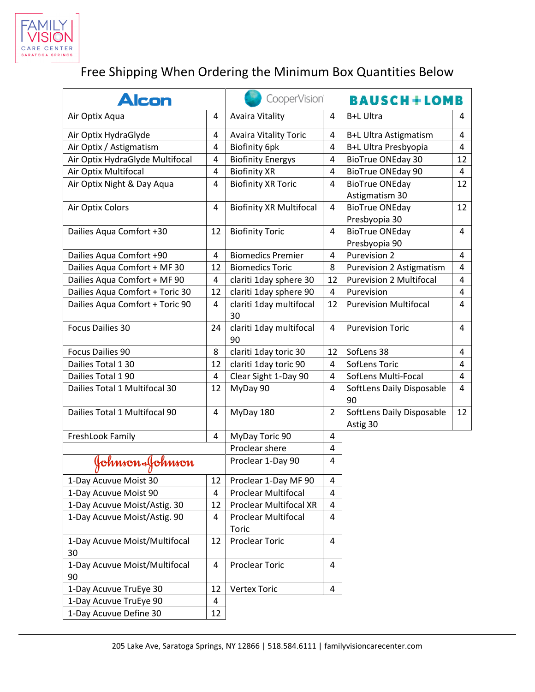

## Free Shipping When Ordering the Minimum Box Quantities Below

| <b>Alcon</b>                        |    | CooperVision                        |                | <b>BAUSCH+LOMB</b>                      |                |
|-------------------------------------|----|-------------------------------------|----------------|-----------------------------------------|----------------|
| Air Optix Aqua                      | 4  | <b>Avaira Vitality</b>              | 4              | B+L Ultra                               | 4              |
| Air Optix HydraGlyde                | 4  | <b>Avaira Vitality Toric</b>        | 4              | B+L Ultra Astigmatism                   | 4              |
| Air Optix / Astigmatism             | 4  | <b>Biofinity 6pk</b>                | 4              | B+L Ultra Presbyopia                    | 4              |
| Air Optix HydraGlyde Multifocal     | 4  | <b>Biofinity Energys</b>            | 4              | <b>BioTrue ONEday 30</b>                | 12             |
| Air Optix Multifocal                | 4  | <b>Biofinity XR</b>                 | 4              | <b>BioTrue ONEday 90</b>                | 4              |
| Air Optix Night & Day Aqua          | 4  | <b>Biofinity XR Toric</b>           | 4              | <b>BioTrue ONEday</b><br>Astigmatism 30 | 12             |
| Air Optix Colors                    | 4  | <b>Biofinity XR Multifocal</b>      | 4              | <b>BioTrue ONEday</b><br>Presbyopia 30  | 12             |
| Dailies Aqua Comfort +30            | 12 | <b>Biofinity Toric</b>              | 4              | <b>BioTrue ONEday</b><br>Presbyopia 90  | 4              |
| Dailies Aqua Comfort +90            | 4  | <b>Biomedics Premier</b>            | 4              | Purevision 2                            | 4              |
| Dailies Aqua Comfort + MF 30        | 12 | <b>Biomedics Toric</b>              | 8              | <b>Purevision 2 Astigmatism</b>         | 4              |
| Dailies Aqua Comfort + MF 90        | 4  | clariti 1day sphere 30              | 12             | <b>Purevision 2 Multifocal</b>          | 4              |
| Dailies Aqua Comfort + Toric 30     | 12 | clariti 1day sphere 90              | $\overline{4}$ | Purevision                              | 4              |
| Dailies Aqua Comfort + Toric 90     | 4  | clariti 1day multifocal<br>30       | 12             | <b>Purevision Multifocal</b>            | 4              |
| <b>Focus Dailies 30</b>             | 24 | clariti 1day multifocal<br>90       | 4              | <b>Purevision Toric</b>                 | 4              |
| <b>Focus Dailies 90</b>             | 8  | clariti 1day toric 30               | 12             | SofLens 38                              | 4              |
| Dailies Total 1 30                  | 12 | clariti 1day toric 90               | 4              | SofLens Toric                           | $\overline{4}$ |
| Dailies Total 190                   | 4  | Clear Sight 1-Day 90                | 4              | SofLens Multi-Focal                     | 4              |
| Dailies Total 1 Multifocal 30       | 12 | MyDay 90                            | 4              | SoftLens Daily Disposable<br>90         | $\overline{4}$ |
| Dailies Total 1 Multifocal 90       | 4  | MyDay 180                           | $\overline{2}$ | SoftLens Daily Disposable<br>Astig 30   | 12             |
| FreshLook Family                    | 4  | MyDay Toric 90                      | 4              |                                         |                |
|                                     |    | Proclear shere                      | 4              |                                         |                |
| Johnson-Johnson                     |    | Proclear 1-Day 90                   | 4              |                                         |                |
| 1-Day Acuvue Moist 30               | 12 | Proclear 1-Day MF 90                | 4              |                                         |                |
| 1-Day Acuvue Moist 90               | 4  | <b>Proclear Multifocal</b>          | 4              |                                         |                |
| 1-Day Acuvue Moist/Astig. 30        | 12 | <b>Proclear Multifocal XR</b>       | 4              |                                         |                |
| 1-Day Acuvue Moist/Astig. 90        | 4  | Proclear Multifocal<br><b>Toric</b> | 4              |                                         |                |
| 1-Day Acuvue Moist/Multifocal<br>30 | 12 | <b>Proclear Toric</b>               | 4              |                                         |                |
| 1-Day Acuvue Moist/Multifocal<br>90 | 4  | <b>Proclear Toric</b>               | 4              |                                         |                |
| 1-Day Acuvue TruEye 30              | 12 | <b>Vertex Toric</b>                 | 4              |                                         |                |
| 1-Day Acuvue TruEye 90              | 4  |                                     |                |                                         |                |
| 1-Day Acuvue Define 30              | 12 |                                     |                |                                         |                |